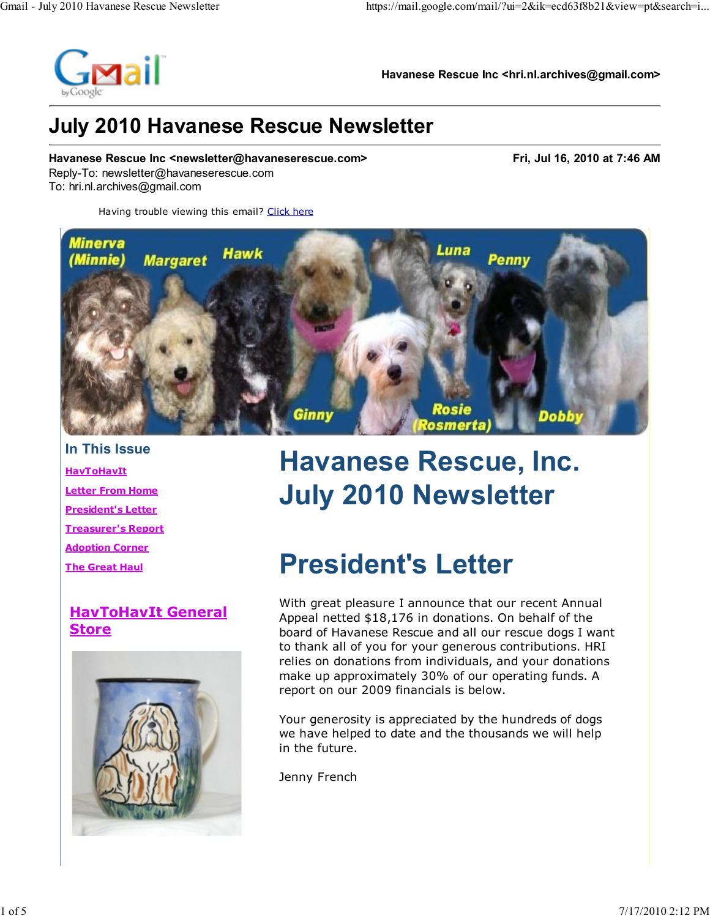

Havanese Rescue Inc <hri.nl.archives@gmail.com>

### July 2010 Havanese Rescue Newsletter

Havanese Rescue Inc <newsletter@havaneserescue.com> Fri, Jul 16, 2010 at 7:46 AM Reply-To: newsletter@havaneserescue.com To: hri.nl.archives@gmail.com

Having trouble viewing this email? Click here



In This Issue **HavToHavIt** Letter From Home President's Letter Treasurer's Report Adoption Corner The Great Haul

### HavToHavIt General Store



# Havanese Rescue, Inc. July 2010 Newsletter

## President's Letter

With great pleasure I announce that our recent Annual Appeal netted \$18,176 in donations. On behalf of the board of Havanese Rescue and all our rescue dogs I want to thank all of you for your generous contributions. HRI relies on donations from individuals, and your donations make up approximately 30% of our operating funds. A report on our 2009 financials is below.

Your generosity is appreciated by the hundreds of dogs we have helped to date and the thousands we will help in the future.

Jenny French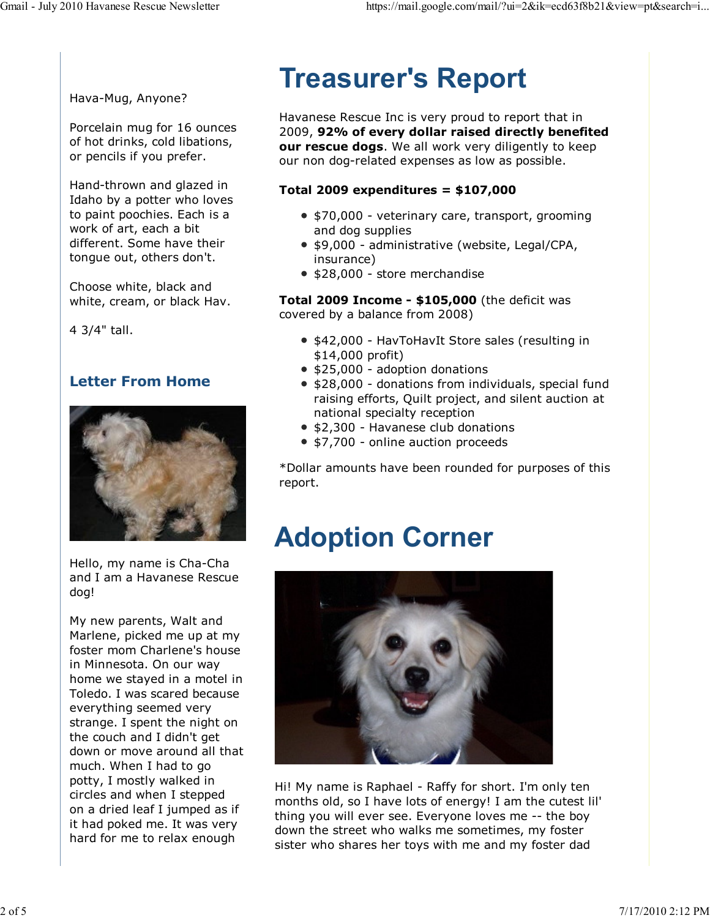Hava-Mug, Anyone?

Porcelain mug for 16 ounces of hot drinks, cold libations, or pencils if you prefer.

Hand-thrown and glazed in Idaho by a potter who loves to paint poochies. Each is a work of art, each a bit different. Some have their tongue out, others don't.

Choose white, black and white, cream, or black Hav.

4 3/4" tall.

#### Letter From Home



Hello, my name is Cha-Cha and I am a Havanese Rescue dog!

My new parents, Walt and Marlene, picked me up at my foster mom Charlene's house in Minnesota. On our way home we stayed in a motel in Toledo. I was scared because everything seemed very strange. I spent the night on the couch and I didn't get down or move around all that much. When I had to go potty, I mostly walked in circles and when I stepped on a dried leaf I jumped as if it had poked me. It was very hard for me to relax enough

## Treasurer's Report

Havanese Rescue Inc is very proud to report that in 2009, 92% of every dollar raised directly benefited our rescue dogs. We all work very diligently to keep our non dog-related expenses as low as possible.

#### Total 2009 expenditures =  $$107,000$

- \$70,000 veterinary care, transport, grooming and dog supplies
- \$9,000 administrative (website, Legal/CPA, insurance)
- \$28,000 store merchandise

**Total 2009 Income - \$105,000** (the deficit was covered by a balance from 2008)

- \$42,000 HavToHavIt Store sales (resulting in \$14,000 profit)
- \$25,000 adoption donations
- \$28,000 donations from individuals, special fund raising efforts, Quilt project, and silent auction at national specialty reception
- \$2,300 Havanese club donations
- \$7,700 online auction proceeds

\*Dollar amounts have been rounded for purposes of this report.

### Adoption Corner



Hi! My name is Raphael - Raffy for short. I'm only ten months old, so I have lots of energy! I am the cutest lil' thing you will ever see. Everyone loves me -- the boy down the street who walks me sometimes, my foster sister who shares her toys with me and my foster dad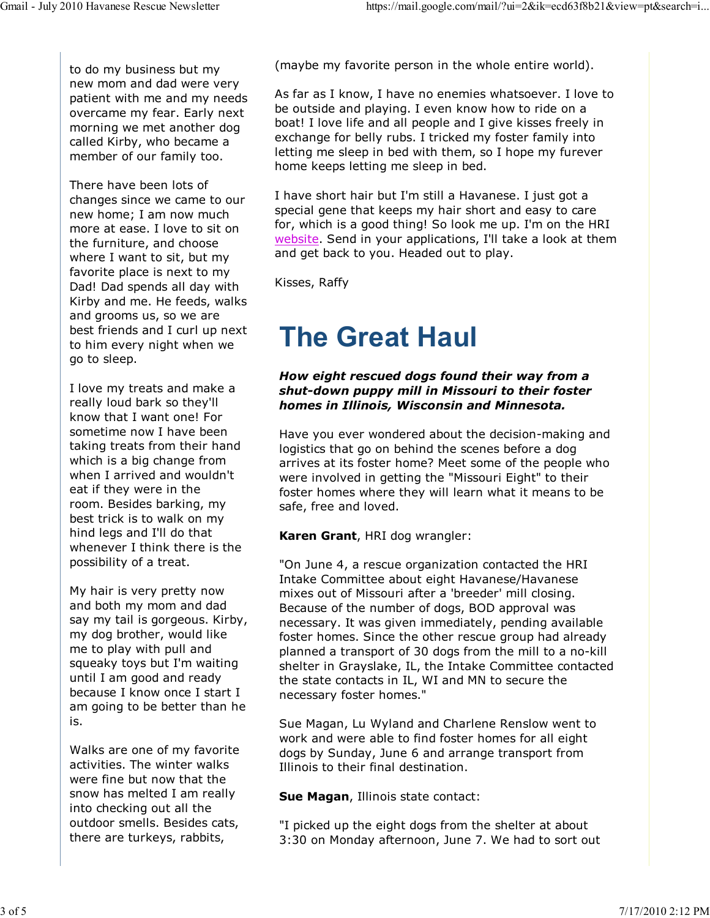to do my business but my new mom and dad were very patient with me and my needs overcame my fear. Early next morning we met another dog called Kirby, who became a member of our family too.

There have been lots of changes since we came to our new home; I am now much more at ease. I love to sit on the furniture, and choose where I want to sit, but my favorite place is next to my Dad! Dad spends all day with Kirby and me. He feeds, walks and grooms us, so we are best friends and I curl up next to him every night when we go to sleep.

I love my treats and make a really loud bark so they'll know that I want one! For sometime now I have been taking treats from their hand which is a big change from when I arrived and wouldn't eat if they were in the room. Besides barking, my best trick is to walk on my hind legs and I'll do that whenever I think there is the possibility of a treat.

My hair is very pretty now and both my mom and dad say my tail is gorgeous. Kirby, my dog brother, would like me to play with pull and squeaky toys but I'm waiting until I am good and ready because I know once I start I am going to be better than he is.

Walks are one of my favorite activities. The winter walks were fine but now that the snow has melted I am really into checking out all the outdoor smells. Besides cats, there are turkeys, rabbits,

(maybe my favorite person in the whole entire world).

As far as I know, I have no enemies whatsoever. I love to be outside and playing. I even know how to ride on a boat! I love life and all people and I give kisses freely in exchange for belly rubs. I tricked my foster family into letting me sleep in bed with them, so I hope my furever home keeps letting me sleep in bed.

I have short hair but I'm still a Havanese. I just got a special gene that keeps my hair short and easy to care for, which is a good thing! So look me up. I'm on the HRI website. Send in your applications, I'll take a look at them and get back to you. Headed out to play.

Kisses, Raffy

### The Great Haul

#### How eight rescued dogs found their way from a shut-down puppy mill in Missouri to their foster homes in Illinois, Wisconsin and Minnesota.

Have you ever wondered about the decision-making and logistics that go on behind the scenes before a dog arrives at its foster home? Meet some of the people who were involved in getting the "Missouri Eight" to their foster homes where they will learn what it means to be safe, free and loved.

Karen Grant, HRI dog wrangler:

"On June 4, a rescue organization contacted the HRI Intake Committee about eight Havanese/Havanese mixes out of Missouri after a 'breeder' mill closing. Because of the number of dogs, BOD approval was necessary. It was given immediately, pending available foster homes. Since the other rescue group had already planned a transport of 30 dogs from the mill to a no-kill shelter in Grayslake, IL, the Intake Committee contacted the state contacts in IL, WI and MN to secure the necessary foster homes."

Sue Magan, Lu Wyland and Charlene Renslow went to work and were able to find foster homes for all eight dogs by Sunday, June 6 and arrange transport from Illinois to their final destination.

Sue Magan, Illinois state contact:

"I picked up the eight dogs from the shelter at about 3:30 on Monday afternoon, June 7. We had to sort out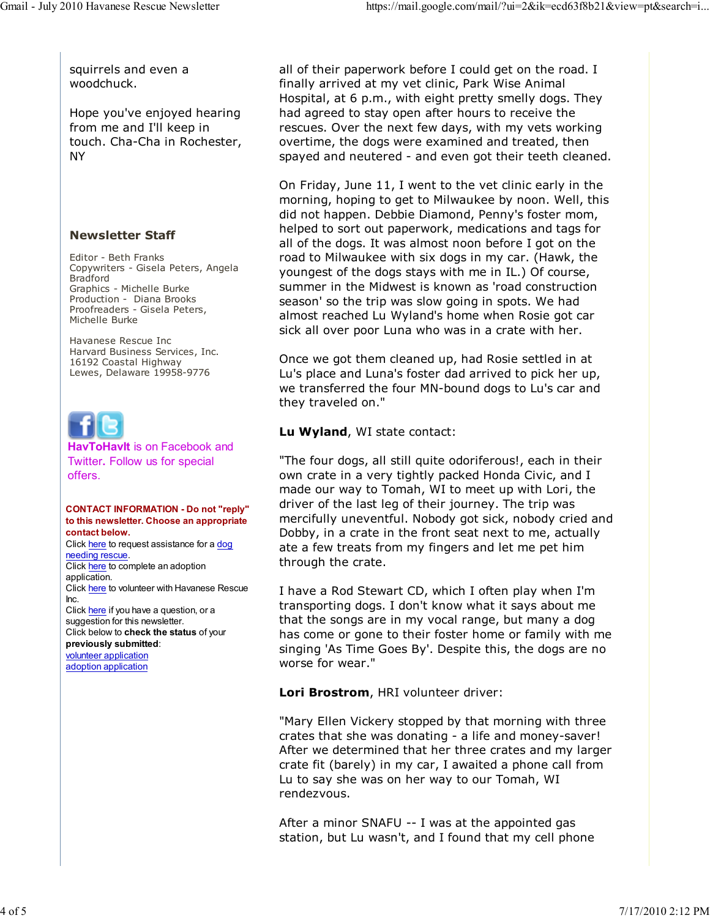squirrels and even a woodchuck.

Hope you've enjoyed hearing from me and I'll keep in touch. Cha-Cha in Rochester, NY

#### Newsletter Staff

Editor - Beth Franks Copywriters - Gisela Peters, Angela Bradford Graphics - Michelle Burke Production - Diana Brooks Proofreaders - Gisela Peters, Michelle Burke

Havanese Rescue Inc Harvard Business Services, Inc. 16192 Coastal Highway Lewes, Delaware 19958-9776



HavToHavIt is on Facebook and Twitter. Follow us for special offers.

#### CONTACT INFORMATION - Do not "reply" to this newsletter. Choose an appropriate contact below.

Click here to request assistance for a dog needing rescue. Click here to complete an adoption application. Click here to volunteer with Havanese Rescue Inc. Click here if you have a question, or a suggestion for this newsletter. Click below to check the status of your previously submitted: volunteer application adoption application

all of their paperwork before I could get on the road. I finally arrived at my vet clinic, Park Wise Animal Hospital, at 6 p.m., with eight pretty smelly dogs. They had agreed to stay open after hours to receive the rescues. Over the next few days, with my vets working overtime, the dogs were examined and treated, then spayed and neutered - and even got their teeth cleaned.

On Friday, June 11, I went to the vet clinic early in the morning, hoping to get to Milwaukee by noon. Well, this did not happen. Debbie Diamond, Penny's foster mom, helped to sort out paperwork, medications and tags for all of the dogs. It was almost noon before I got on the road to Milwaukee with six dogs in my car. (Hawk, the youngest of the dogs stays with me in IL.) Of course, summer in the Midwest is known as 'road construction season' so the trip was slow going in spots. We had almost reached Lu Wyland's home when Rosie got car sick all over poor Luna who was in a crate with her.

Once we got them cleaned up, had Rosie settled in at Lu's place and Luna's foster dad arrived to pick her up, we transferred the four MN-bound dogs to Lu's car and they traveled on."

#### Lu Wyland, WI state contact:

"The four dogs, all still quite odoriferous!, each in their own crate in a very tightly packed Honda Civic, and I made our way to Tomah, WI to meet up with Lori, the driver of the last leg of their journey. The trip was mercifully uneventful. Nobody got sick, nobody cried and Dobby, in a crate in the front seat next to me, actually ate a few treats from my fingers and let me pet him through the crate.

I have a Rod Stewart CD, which I often play when I'm transporting dogs. I don't know what it says about me that the songs are in my vocal range, but many a dog has come or gone to their foster home or family with me singing 'As Time Goes By'. Despite this, the dogs are no worse for wear."

Lori Brostrom, HRI volunteer driver:

"Mary Ellen Vickery stopped by that morning with three crates that she was donating - a life and money-saver! After we determined that her three crates and my larger crate fit (barely) in my car, I awaited a phone call from Lu to say she was on her way to our Tomah, WI rendezvous.

After a minor SNAFU -- I was at the appointed gas station, but Lu wasn't, and I found that my cell phone